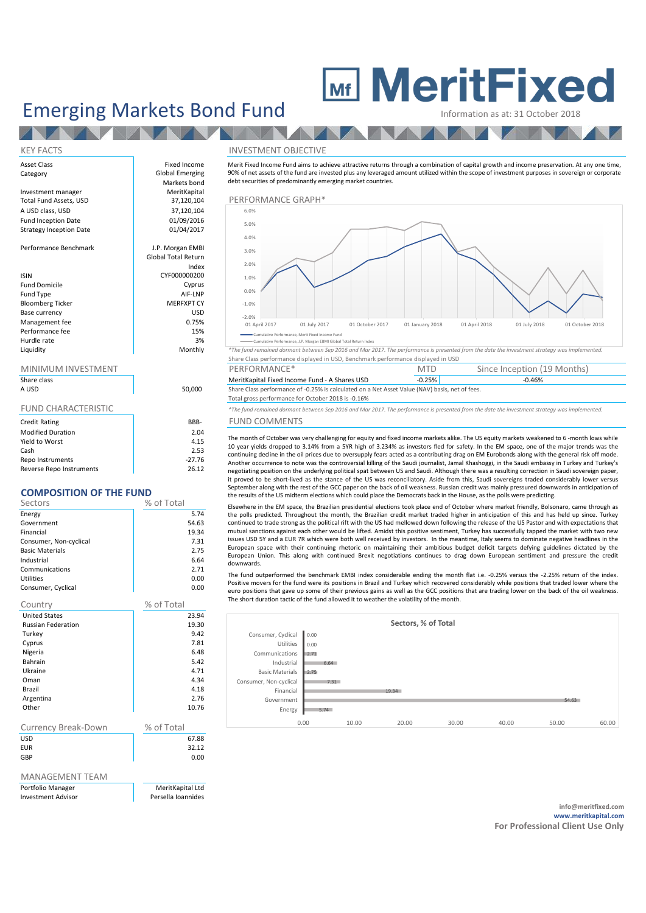# Emerging Markets Bond Fund

Index

# **MeritFixed**

**ANTENNA ANTENNA ANTENNA A PERSONA A PERSONA A PERSONA A PERSONA A PERSONA A PERSONA A PERSONA A PERSONA A PER** 

Since Inception (19 Months)  $-0.46%$ 

## KEY FACTS INVESTMENT OBJECTIVE

### Asset Class **Fixed Income** Category **Global Emerging** Markets bond<br>MeritKanital Investment manager and MeritKapital MeritKapital of the MeritKapital of the Merit Capital of the Merit Capital<br>
37,120,104 A USD class, USD 37,120,104<br>
Fund Incention Date 61/09/2016 Fund Inception Date 01/09/2016<br>Strategy Incention Date 01/04/2017 Strategy Inception Date Performance Benchmark and J.P. Morgan EMBI Global Total Return ISIN CYF000000200 Fund Domicile Cyprus (Cyprus Cyprus Cyprus Cyprus Cyprus Cyprus Cyprus Cyprus Cyprus Cyprus Cyprus Cyprus Cyprus Cyprus Cyprus Cyprus Cyprus Cyprus Cyprus Cyprus Cyprus Cyprus Cyprus Cyprus Cyprus Cyprus Cyprus Cyprus Cypr Fund Type all and Type and Type and Type and Type and Type and Type and Type and Type and Type and Type and Type and Type and Type and Type and Type and Type and Type and Type and Type and Type and Type and Type and Type a Bloomberg Ticker MERFXPT CY<br>Rase Currency (MERFXPT CY Base currency USD<br>
Management fee 
0.75% Management fee 6 0.75% of 15% of the 15% of the 15% of the 15% of the 15% of the 15% of the 15% of the 15% of the 15% of the 15% of the 15% of the 15% of the 15% of the 15% of the 15% of the 15% of the 15% of the 15% of th Performance fee 15% 15% and 15% and 15% and 15% and 15% and 15% and 15% and 15% and 15% and 15% and 15% and 15% and 15% and 15% and 15% and 15% and 15% and 15% and 15% and 15% and 15% and 15% and 15% and 15% and 15% and 15 Hurdle rate and the state of the state of the state of the state of the state of the state of the state of the state of the state of the state of the state of the state of the state of the state of the state of the state o

NZ

### MINIMUM INVESTMENT THE RESERVE PERFORMANCE \* THE MINIMUM INVESTMENT

| Share class<br>A USD       | 50.00 |
|----------------------------|-------|
| <b>FUND CHARACTERISTIC</b> |       |
| Credit Rating              | BBE   |

| Credit Rating            | KKK-     |
|--------------------------|----------|
| <b>Modified Duration</b> | 2.04     |
| Yield to Worst           | 4.15     |
| Cash                     | 2.53     |
| Repo Instruments         | $-27.76$ |
| Reverse Repo Instruments | 26.12    |

## **COMPOSITION OF THE FUND**

| Sectors                    | % of Total |
|----------------------------|------------|
| Energy                     | 5.74       |
| Government                 | 54.63      |
| Financial                  | 19.34      |
| Consumer, Non-cyclical     | 7.31       |
| <b>Basic Materials</b>     | 2.75       |
| Industrial                 | 6.64       |
| Communications             | 2.71       |
| <b>Utilities</b>           | 0.00       |
| Consumer, Cyclical         | 0.00       |
| Country                    | % of Total |
| <b>United States</b>       | 23.94      |
| <b>Russian Federation</b>  | 19.30      |
| Turkey                     | 9.42       |
| Cyprus                     | 7.81       |
| Nigeria                    | 6.48       |
| Bahrain                    | 5.42       |
| Ukraine                    | 4.71       |
| Oman                       | 4.34       |
| Brazil                     | 4.18       |
| Argentina                  | 2.76       |
| Other                      | 10.76      |
|                            |            |
| Currency Break-Down        | % of Total |
| <b>USD</b>                 | 67.88      |
| <b>EUR</b>                 | 32.12      |
| GBP                        | 0.00       |
|                            |            |
| <b>MAANACEMAENIT TEAMA</b> |            |

MANAGEMENT TEAM

Portfolio Manager MeritKapital Ltd Investment Advisor **Persella Ioannides** 



Merit Fixed Income Fund aims to achieve attractive returns through a combination of capital growth and income preservation. At any one time, 90% of net assets of the fund are invested plus any leveraged amount utilized within the scope of investment purposes in sovereign or corporate

Cumulative Performance, Merit Fixed Income Fund ance, J.P. Morgan EBMI G

debt securities of predominantly emerging market countries.

Liquidity Monthly *\*The fund remained dormant between Sep 2016 and Mar 2017. The performance is presented from the date the investment strategy was implemented.* Share Class performance displayed in USD, Benchmark performance displayed in USD

MeritKapital Fixed Income Fund - A Shares USD -0.25%<br>Share Class performance of -0.25% is calculated on a Net Asset Value (NAV) b. Share Class performance of -0.25% is calculated on a Net Asset Value (NAV) basis, net of fees

### Total gross performance for October 2018 is -0.16%

\*The fund remained dormant between Sep 2016 and Mar 2017. The performance is presented from the date the investment strategy was implemented.

# BFUND COMMENTS
COMMENTS

The month of October was very challenging for equity and fixed income markets alike. The US equity markets weakened to 6 -month lows while 10 year yields dropped to 3.14% from a 5YR high of 3.234% as investors fled for safety. In the EM space, one of the major trends was the continuing decline in the oil prices due to oversupply fears acted as a contributing drag on EM Eurobonds along with the general risk off mode. Another occurrence to note was the controversial killing of the Saudi journalist, Jamal Khashoggi, in the Saudi embassy in Turkey and Turkey's negotiating position on the underlying political spat between US and Saudi. Although there was a resulting correction in Saudi sovereign paper, it proved to be short-lived as the stance of the US was reconciliatory. Aside from this, Saudi sovereigns traded considerably lower versus September along with the rest of the GCC paper on the back of oil weakness. Russian credit was mainly pressured downwards in anticipation of the results of the US midterm elections which could place the Democrats back in the House, as the polls were predicting.

Elsewhere in the EM space, the Brazilian presidential elections took place end of October where market friendly, Bolsonaro, came through as the polls predicted. Throughout the month, the Brazilian credit market traded higher in anticipation of this and has held up since. Turkey continued to trade strong as the political rift with the US had mellowed down following the release of the US Pastor and with expectations that mutual sanctions against each other would be lifted. Amidst this positive sentiment, Turkey has successfully tapped the market with two new issues USD 5Y and a EUR 7R which were both well received by investors. In the meantime, Italy seems to dominate negative headlines in the European space with their continuing rhetoric on maintaining their ambitious budget deficit targets defying guidelines dictated by the European Union. This along with continued Brexit negotiations continues to drag down European sentiment and pressure the credit downwards.

The fund outperformed the benchmark EMBI index considerable ending the month flat i.e. -0.25% versus the -2.25% return of the index. Positive movers for the fund were its positions in Brazil and Turkey which recovered considerably while positions that traded lower where the euro positions that gave up some of their previous gains as well as the GCC positions that are trading lower on the back of the oil weakness. The short duration tactic of the fund allowed it to weather the volatility of the month.

| Sectors, % of Total    |      |       |       |       |       |       |       |  |
|------------------------|------|-------|-------|-------|-------|-------|-------|--|
| Consumer, Cyclical     | 0.00 |       |       |       |       |       |       |  |
| Utilities              | 0.00 |       |       |       |       |       |       |  |
| Communications         | 2.71 |       |       |       |       |       |       |  |
| Industrial             | 6.64 |       |       |       |       |       |       |  |
| <b>Basic Materials</b> | 2.75 |       |       |       |       |       |       |  |
| Consumer, Non-cyclical | 7.31 |       |       |       |       |       |       |  |
| Financial              |      |       | 19.34 |       |       |       |       |  |
| Government             |      |       |       |       |       | 54.63 |       |  |
| Energy                 | 5.74 |       |       |       |       |       |       |  |
|                        | 0.00 | 10.00 | 20.00 | 30.00 | 40.00 | 50.00 | 60.00 |  |

**info@meritfixed.com www.meritkapital.com For Professional Client Use Only**